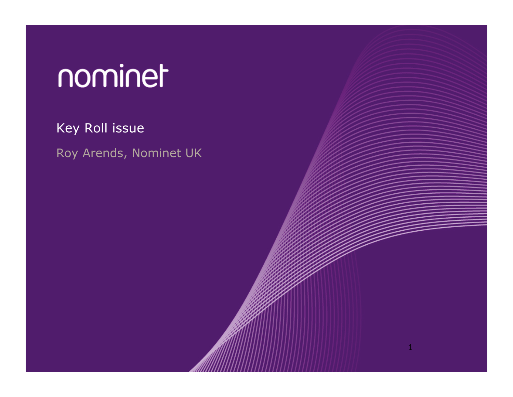## nominet

Key Roll issue Roy Arends, Nominet UK

1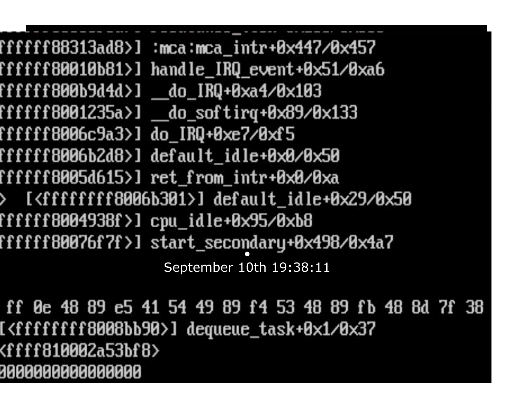ffffff88313ad8>] :mca:mca\_intr+0x447/0x457 ffffff80010b81>] handle\_IRQ\_event+0x51/0xa6 ffffff800b9d4d>] do IRQ+0xa4/0x103 ffffff8006c9a3>] do IRQ+0xe7/0xf5 ffffff8006b2d8>]default\_idle+0x0/0x50 ffffff8005d615>]ret\_from\_intr+0x0/0xa > [<ffffffff8006b301>] default\_idle+0x29/0x50 ffffff8004938f>]cpu\_idle+0x95/0xb8 ffffff80076f7f>] start\_secondary+0x498/0x4a7 September 10th 19:38:11

ff 0e 48 89 e5 41 54 49 89 f4 53 48 89 fb 48 8d 7f 38 [<ffffffff8008bb90>] dequeue\_task+0x1/0x37 <ffff810002a53bf8> 800000000000000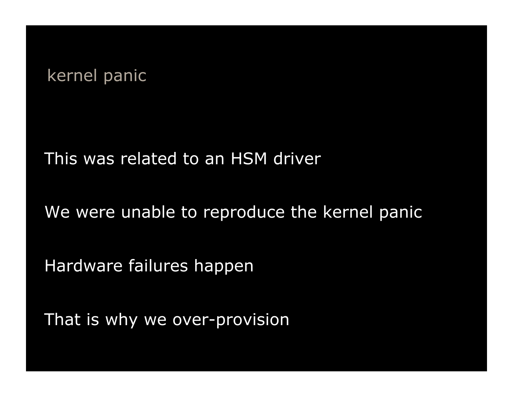## kernel panic

This was related to an HSM driver

We were unable to reproduce the kernel panic

Hardware failures happen

That is why we over-provision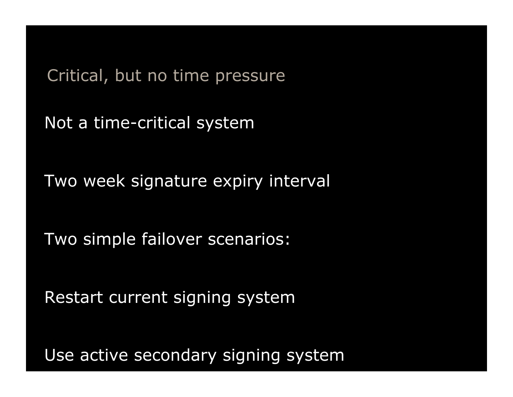Critical, but no time pressure

Not a time-critical system

Two week signature expiry interval

Two simple failover scenarios:

Restart current signing system

Use active secondary signing system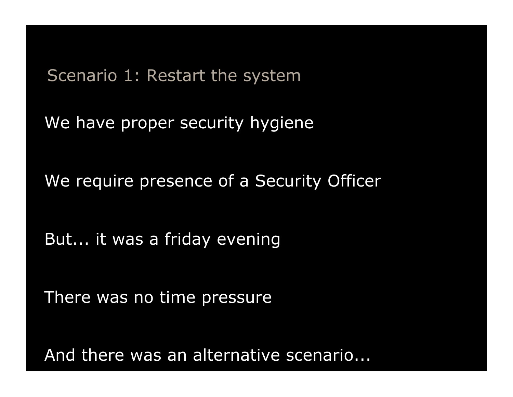Scenario 1: Restart the system

We have proper security hygiene

We require presence of a Security Officer

But... it was a friday evening

There was no time pressure

And there was an alternative scenario...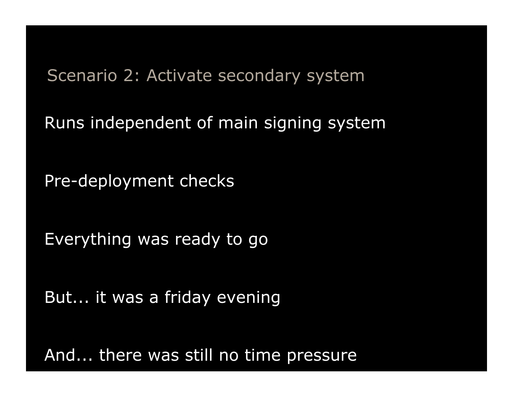Scenario 2: Activate secondary system

Runs independent of main signing system

Pre-deployment checks

Everything was ready to go

But... it was a friday evening

And... there was still no time pressure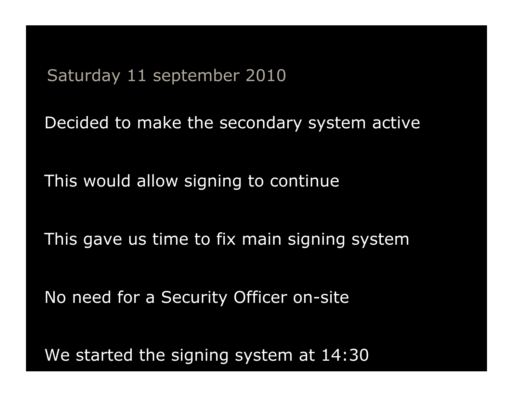Saturday 11 september 2010

Decided to make the secondary system active

This would allow signing to continue

This gave us time to fix main signing system

No need for a Security Officer on-site

We started the signing system at 14:30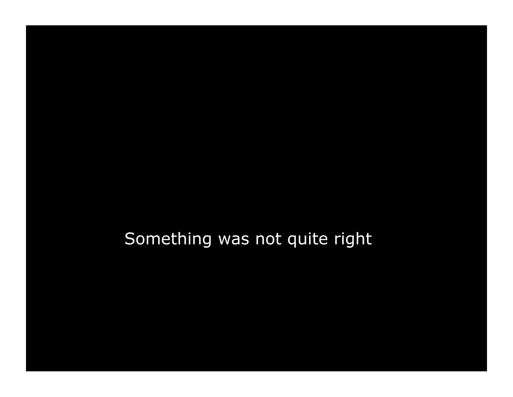Something was not quite right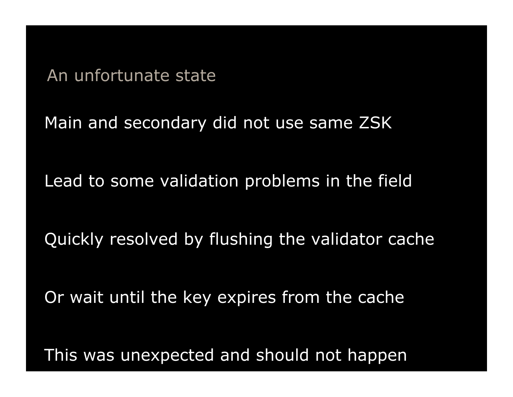An unfortunate state

Main and secondary did not use same ZSK

Lead to some validation problems in the field

Quickly resolved by flushing the validator cache

Or wait until the key expires from the cache

This was unexpected and should not happen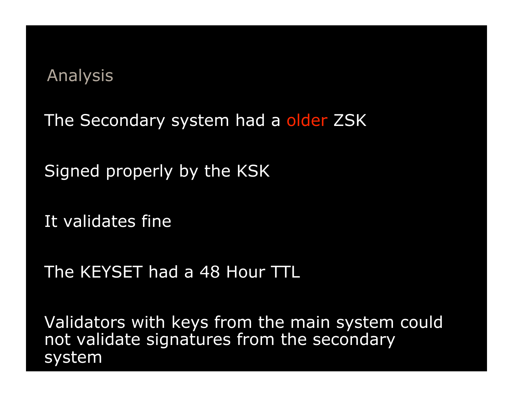## Analysis

The Secondary system had a older ZSK

Signed properly by the KSK

It validates fine

The KEYSET had a 48 Hour TTL

Validators with keys from the main system could not validate signatures from the secondary system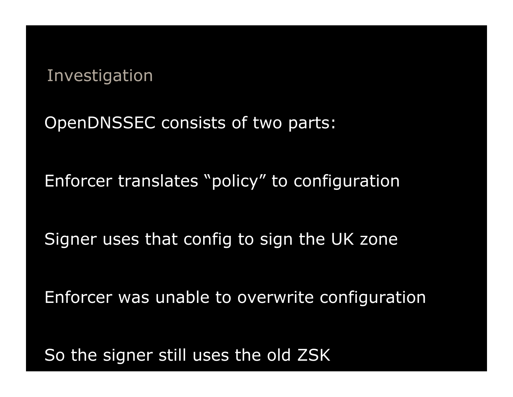Investigation

OpenDNSSEC consists of two parts:

Enforcer translates "policy" to configuration

Signer uses that config to sign the UK zone

Enforcer was unable to overwrite configuration

So the signer still uses the old ZSK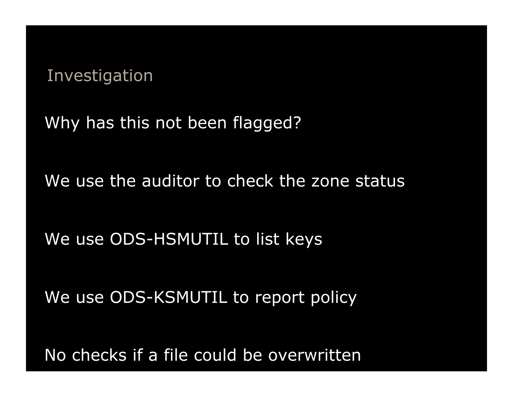Investigation

Why has this not been flagged?

We use the auditor to check the zone status

We use ODS-HSMUTIL to list keys

We use ODS-KSMUTIL to report policy

No checks if a file could be overwritten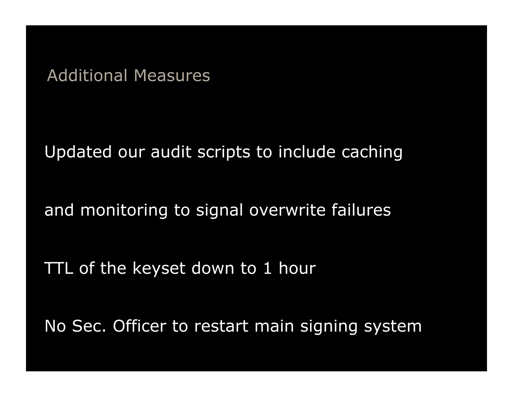Additional Measures

Updated our audit scripts to include caching

and monitoring to signal overwrite failures

TTL of the keyset down to 1 hour

No Sec. Officer to restart main signing system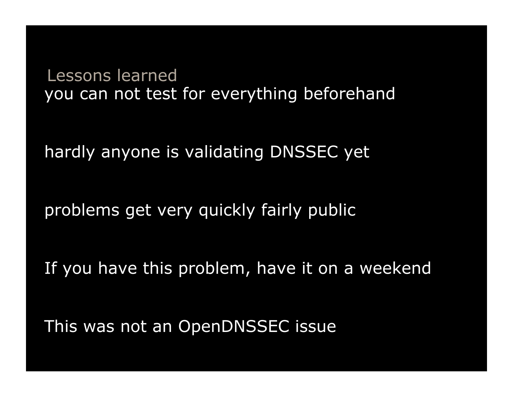Lessons learned you can not test for everything beforehand

hardly anyone is validating DNSSEC yet

problems get very quickly fairly public

If you have this problem, have it on a weekend

This was not an OpenDNSSEC issue